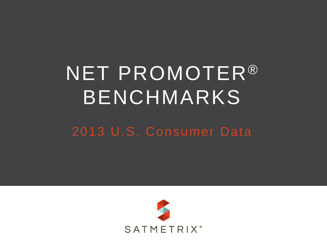# NET PROMOTER® BENCHMARKS

#### 2013 U.S. Consumer Data

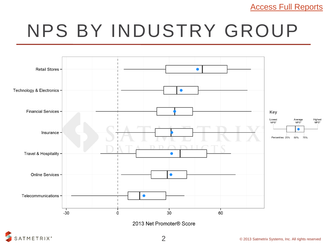[Access Full Reports](http://www.satmetrix.com/satmetrix-netpromoter-benchmarks.html)

## NPS BY INDUSTRY GROUP



2013 Net Promoter® Score

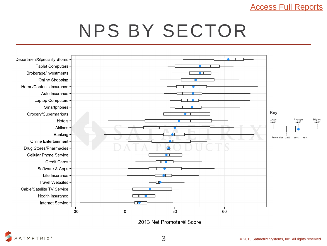#### [Access Full Reports](http://www.satmetrix.com/satmetrix-netpromoter-benchmarks.html)

### NPS BY SECTOR



2013 Net Promoter® Score

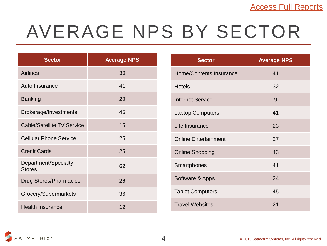## AVERAGE NPS BY SECTOR

| <b>Sector</b>                         | <b>Average NPS</b> |
|---------------------------------------|--------------------|
| <b>Airlines</b>                       | 30                 |
| Auto Insurance                        | 41                 |
| <b>Banking</b>                        | 29                 |
| Brokerage/Investments                 | 45                 |
| <b>Cable/Satellite TV Service</b>     | 15                 |
| <b>Cellular Phone Service</b>         | 25                 |
| <b>Credit Cards</b>                   | 25                 |
| Department/Specialty<br><b>Stores</b> | 62                 |
| <b>Drug Stores/Pharmacies</b>         | 26                 |
| Grocery/Supermarkets                  | 36                 |
| <b>Health Insurance</b>               | 12                 |

| <b>Sector</b>                  | <b>Average NPS</b> |
|--------------------------------|--------------------|
| <b>Home/Contents Insurance</b> | 41                 |
| <b>Hotels</b>                  | 32                 |
| <b>Internet Service</b>        | 9                  |
| <b>Laptop Computers</b>        | 41                 |
| Life Insurance                 | 23                 |
| <b>Online Entertainment</b>    | 27                 |
| <b>Online Shopping</b>         | 43                 |
| Smartphones                    | 41                 |
| Software & Apps                | 24                 |
| <b>Tablet Computers</b>        | 45                 |
| <b>Travel Websites</b>         | 21                 |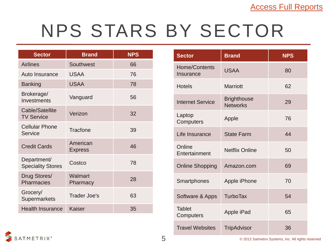### NPS STARS BY SECTOR

| <b>Sector</b>                           | <b>Brand</b>               | <b>NPS</b> |
|-----------------------------------------|----------------------------|------------|
| <b>Airlines</b>                         | Southwest                  | 66         |
| Auto Insurance                          | <b>USAA</b>                | 76         |
| <b>Banking</b>                          | <b>USAA</b>                | 78         |
| Brokerage/<br>Investments               | Vanguard                   | 56         |
| Cable/Satellite<br><b>TV Service</b>    | Verizon                    | 32         |
| <b>Cellular Phone</b><br>Service        | <b>Tracfone</b>            | 39         |
| <b>Credit Cards</b>                     | American<br><b>Express</b> | 46         |
| Department/<br><b>Speciality Stores</b> | Costco                     | 78         |
| Drug Stores/<br><b>Pharmacies</b>       | Walmart<br>Pharmacy        | 28         |
| Grocery/<br><b>Supermarkets</b>         | <b>Trader Joe's</b>        | 63         |
| <b>Health Insurance</b>                 | <b>Kaiser</b>              | 35         |

| <b>Sector</b>              | <b>Brand</b>                          | <b>NPS</b> |
|----------------------------|---------------------------------------|------------|
| Home/Contents<br>Insurance | <b>USAA</b>                           | 80         |
| <b>Hotels</b>              | <b>Marriott</b>                       | 62         |
| <b>Internet Service</b>    | <b>Brighthouse</b><br><b>Networks</b> | 29         |
| Laptop<br>Computers        | Apple                                 | 76         |
| Life Insurance             | <b>State Farm</b>                     | 44         |
| Online<br>Entertainment    | <b>Netflix Online</b>                 | 50         |
| <b>Online Shopping</b>     | Amazon.com                            | 69         |
| Smartphones                | Apple iPhone                          | 70         |
| Software & Apps            | <b>TurboTax</b>                       | 54         |
| <b>Tablet</b><br>Computers | Apple iPad                            | 65         |
| <b>Travel Websites</b>     | <b>TripAdvisor</b>                    | 36         |